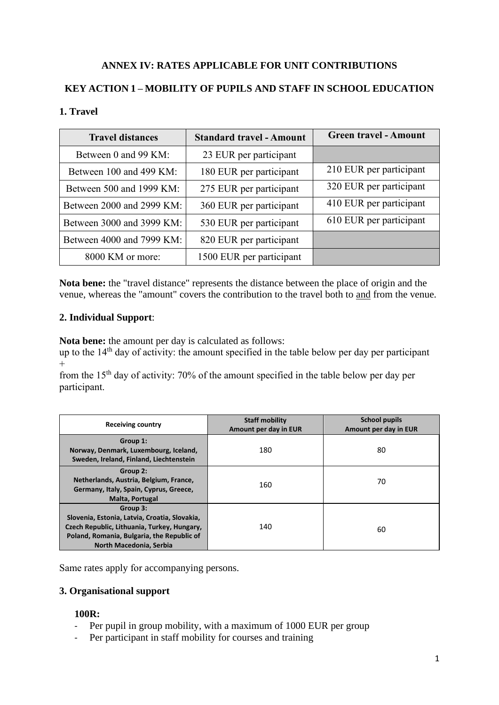# **ANNEX IV: RATES APPLICABLE FOR UNIT CONTRIBUTIONS**

# **KEY ACTION 1 – MOBILITY OF PUPILS AND STAFF IN SCHOOL EDUCATION**

### **1. Travel**

| <b>Travel distances</b>   | <b>Standard travel - Amount</b> | <b>Green travel - Amount</b> |
|---------------------------|---------------------------------|------------------------------|
| Between 0 and 99 KM:      | 23 EUR per participant          |                              |
| Between 100 and 499 KM:   | 180 EUR per participant         | 210 EUR per participant      |
| Between 500 and 1999 KM:  | 275 EUR per participant         | 320 EUR per participant      |
| Between 2000 and 2999 KM: | 360 EUR per participant         | 410 EUR per participant      |
| Between 3000 and 3999 KM: | 530 EUR per participant         | 610 EUR per participant      |
| Between 4000 and 7999 KM: | 820 EUR per participant         |                              |
| 8000 KM or more:          | 1500 EUR per participant        |                              |

**Nota bene:** the "travel distance" represents the distance between the place of origin and the venue, whereas the "amount" covers the contribution to the travel both to and from the venue.

#### **2. Individual Support**:

**Nota bene:** the amount per day is calculated as follows:

up to the  $14<sup>th</sup>$  day of activity: the amount specified in the table below per day per participant  $+$ 

from the 15th day of activity: 70% of the amount specified in the table below per day per participant.

| <b>Receiving country</b>                                                                                                                                                          | <b>Staff mobility</b><br>Amount per day in EUR | <b>School pupils</b><br>Amount per day in EUR |
|-----------------------------------------------------------------------------------------------------------------------------------------------------------------------------------|------------------------------------------------|-----------------------------------------------|
| Group 1:<br>Norway, Denmark, Luxembourg, Iceland,<br>Sweden, Ireland, Finland, Liechtenstein                                                                                      | 180                                            | 80                                            |
| Group 2:<br>Netherlands, Austria, Belgium, France,<br>Germany, Italy, Spain, Cyprus, Greece,<br><b>Malta, Portugal</b>                                                            | 160                                            | 70                                            |
| Group 3:<br>Slovenia, Estonia, Latvia, Croatia, Slovakia,<br>Czech Republic, Lithuania, Turkey, Hungary,<br>Poland, Romania, Bulgaria, the Republic of<br>North Macedonia, Serbia | 140                                            | 60                                            |

Same rates apply for accompanying persons.

# **3. Organisational support**

#### **100R:**

- Per pupil in group mobility, with a maximum of 1000 EUR per group
- Per participant in staff mobility for courses and training